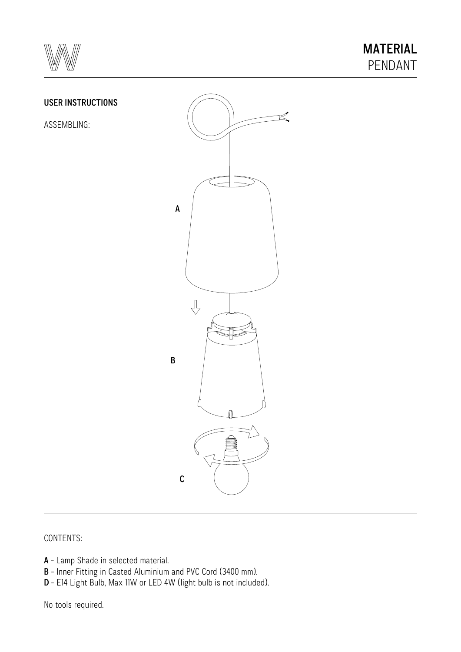

#### USER INSTRUCTIONS

ASSEMBLING:



# CONTENTS:

- A Lamp Shade in selected material.
- B Inner Fitting in Casted Aluminium and PVC Cord (3400 mm).
- D E14 Light Bulb, Max 11W or LED 4W (light bulb is not included).

No tools required.